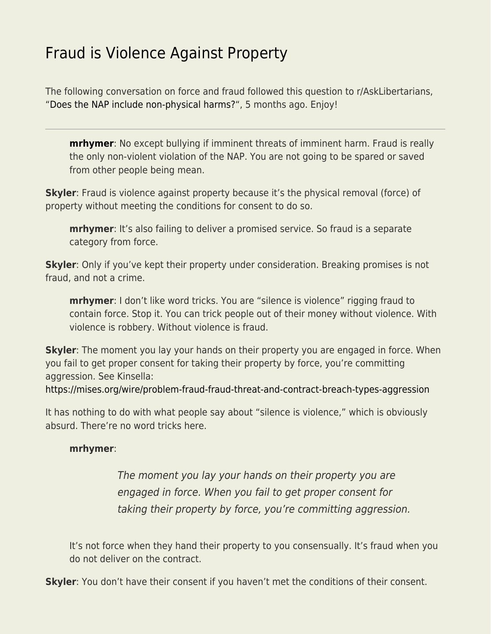## [Fraud is Violence Against Property](https://everything-voluntary.com/fraud-is-violence-against-property)

The following conversation on force and fraud followed this question to r/AskLibertarians, ["Does the NAP include non-physical harms?"](https://www.reddit.com/r/AskLibertarians/comments/rprchf/does_the_nap_include_nonphysical_harms/), 5 months ago. Enjoy!

**[mrhymer](https://www.reddit.com/user/mrhymer/)**: No except bullying if imminent threats of imminent harm. Fraud is really the only non-violent violation of the NAP. You are not going to be spared or saved from other people being mean.

**Skyler**: Fraud is violence against property because it's the physical removal (force) of property without meeting the conditions for consent to do so.

**mrhymer**: It's also failing to deliver a promised service. So fraud is a separate category from force.

**Skyler**: Only if you've kept their property under consideration. Breaking promises is not fraud, and not a crime.

**mrhymer**: I don't like word tricks. You are "silence is violence" rigging fraud to contain force. Stop it. You can trick people out of their money without violence. With violence is robbery. Without violence is fraud.

**Skyler**: The moment you lay your hands on their property you are engaged in force. When you fail to get proper consent for taking their property by force, you're committing aggression. See Kinsella:

<https://mises.org/wire/problem-fraud-fraud-threat-and-contract-breach-types-aggression>

It has nothing to do with what people say about "silence is violence," which is obviously absurd. There're no word tricks here.

## **mrhymer**:

The moment you lay your hands on their property you are engaged in force. When you fail to get proper consent for taking their property by force, you're committing aggression.

It's not force when they hand their property to you consensually. It's fraud when you do not deliver on the contract.

**Skyler**: You don't have their consent if you haven't met the conditions of their consent.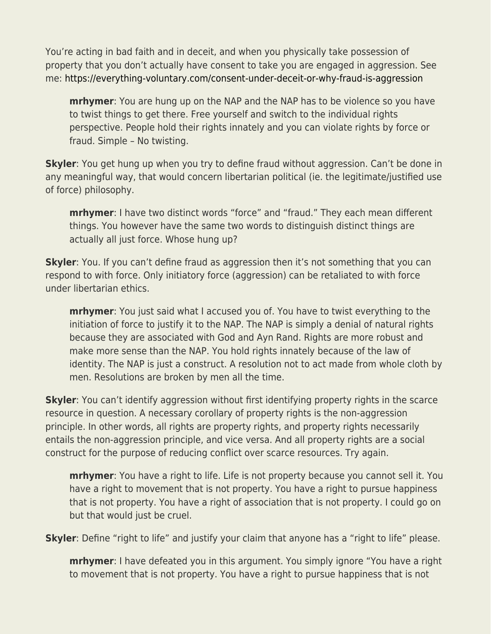You're acting in bad faith and in deceit, and when you physically take possession of property that you don't actually have consent to take you are engaged in aggression. See me: <https://everything-voluntary.com/consent-under-deceit-or-why-fraud-is-aggression>

**mrhymer**: You are hung up on the NAP and the NAP has to be violence so you have to twist things to get there. Free yourself and switch to the individual rights perspective. People hold their rights innately and you can violate rights by force or fraud. Simple – No twisting.

**Skyler**: You get hung up when you try to define fraud without aggression. Can't be done in any meaningful way, that would concern libertarian political (ie. the legitimate/justified use of force) philosophy.

**mrhymer**: I have two distinct words "force" and "fraud." They each mean different things. You however have the same two words to distinguish distinct things are actually all just force. Whose hung up?

**Skyler**: You. If you can't define fraud as aggression then it's not something that you can respond to with force. Only initiatory force (aggression) can be retaliated to with force under libertarian ethics.

**mrhymer**: You just said what I accused you of. You have to twist everything to the initiation of force to justify it to the NAP. The NAP is simply a denial of natural rights because they are associated with God and Ayn Rand. Rights are more robust and make more sense than the NAP. You hold rights innately because of the law of identity. The NAP is just a construct. A resolution not to act made from whole cloth by men. Resolutions are broken by men all the time.

**Skyler**: You can't identify aggression without first identifying property rights in the scarce resource in question. A necessary corollary of property rights is the non-aggression principle. In other words, all rights are property rights, and property rights necessarily entails the non-aggression principle, and vice versa. And all property rights are a social construct for the purpose of reducing conflict over scarce resources. Try again.

**mrhymer**: You have a right to life. Life is not property because you cannot sell it. You have a right to movement that is not property. You have a right to pursue happiness that is not property. You have a right of association that is not property. I could go on but that would just be cruel.

**Skyler**: Define "right to life" and justify your claim that anyone has a "right to life" please.

**mrhymer**: I have defeated you in this argument. You simply ignore "You have a right to movement that is not property. You have a right to pursue happiness that is not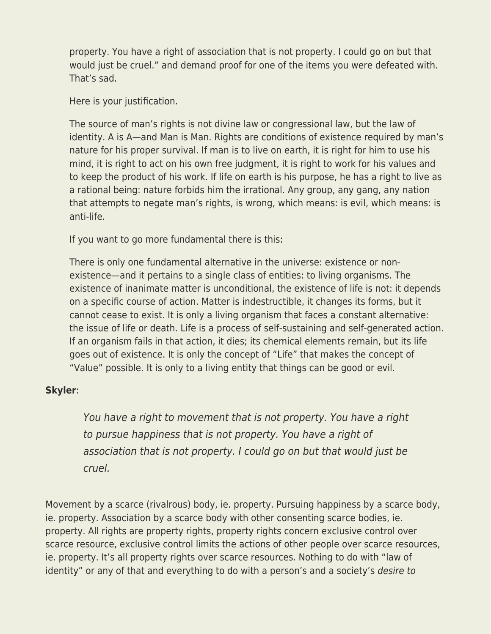property. You have a right of association that is not property. I could go on but that would just be cruel." and demand proof for one of the items you were defeated with. That's sad.

Here is your justification.

The source of man's rights is not divine law or congressional law, but the law of identity. A is A—and Man is Man. Rights are conditions of existence required by man's nature for his proper survival. If man is to live on earth, it is right for him to use his mind, it is right to act on his own free judgment, it is right to work for his values and to keep the product of his work. If life on earth is his purpose, he has a right to live as a rational being: nature forbids him the irrational. Any group, any gang, any nation that attempts to negate man's rights, is wrong, which means: is evil, which means: is anti-life.

If you want to go more fundamental there is this:

There is only one fundamental alternative in the universe: existence or nonexistence—and it pertains to a single class of entities: to living organisms. The existence of inanimate matter is unconditional, the existence of life is not: it depends on a specific course of action. Matter is indestructible, it changes its forms, but it cannot cease to exist. It is only a living organism that faces a constant alternative: the issue of life or death. Life is a process of self-sustaining and self-generated action. If an organism fails in that action, it dies; its chemical elements remain, but its life goes out of existence. It is only the concept of "Life" that makes the concept of "Value" possible. It is only to a living entity that things can be good or evil.

## **Skyler**:

You have a right to movement that is not property. You have a right to pursue happiness that is not property. You have a right of association that is not property. I could go on but that would just be cruel.

Movement by a scarce (rivalrous) body, ie. property. Pursuing happiness by a scarce body, ie. property. Association by a scarce body with other consenting scarce bodies, ie. property. All rights are property rights, property rights concern exclusive control over scarce resource, exclusive control limits the actions of other people over scarce resources, ie. property. It's all property rights over scarce resources. Nothing to do with "law of identity" or any of that and everything to do with a person's and a society's desire to